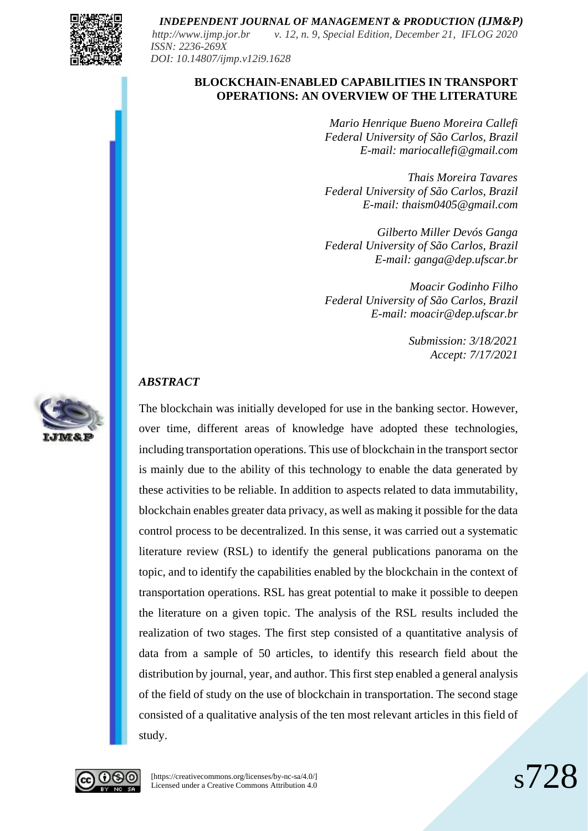

*http://www.ijmp.jor.br v. 12, n. 9, Special Edition, December 21, IFLOG 2020 ISSN: 2236-269X DOI: 10.14807/ijmp.v12i9.1628*

### **BLOCKCHAIN-ENABLED CAPABILITIES IN TRANSPORT OPERATIONS: AN OVERVIEW OF THE LITERATURE**

*Mario Henrique Bueno Moreira Callefi Federal University of São Carlos, Brazil E-mail: mariocallefi@gmail.com*

*Thais Moreira Tavares Federal University of São Carlos, Brazil E-mail: thaism0405@gmail.com*

*Gilberto Miller Devós Ganga Federal University of São Carlos, Brazil E-mail: ganga@dep.ufscar.br*

*Moacir Godinho Filho Federal University of São Carlos, Brazil E-mail: moacir@dep.ufscar.br*

> *Submission: 3/18/2021 Accept: 7/17/2021*

## *ABSTRACT*



The blockchain was initially developed for use in the banking sector. However, over time, different areas of knowledge have adopted these technologies, including transportation operations. This use of blockchain in the transport sector is mainly due to the ability of this technology to enable the data generated by these activities to be reliable. In addition to aspects related to data immutability, blockchain enables greater data privacy, as well as making it possible for the data control process to be decentralized. In this sense, it was carried out a systematic literature review (RSL) to identify the general publications panorama on the topic, and to identify the capabilities enabled by the blockchain in the context of transportation operations. RSL has great potential to make it possible to deepen the literature on a given topic. The analysis of the RSL results included the realization of two stages. The first step consisted of a quantitative analysis of data from a sample of 50 articles, to identify this research field about the distribution by journal, year, and author. This first step enabled a general analysis of the field of study on the use of blockchain in transportation. The second stage consisted of a qualitative analysis of the ten most relevant articles in this field of study.



[https://creativecommons.org/licenses/by-nc-sa/4.0/] Licensed under a Creative Commons Attribution 4.0 s728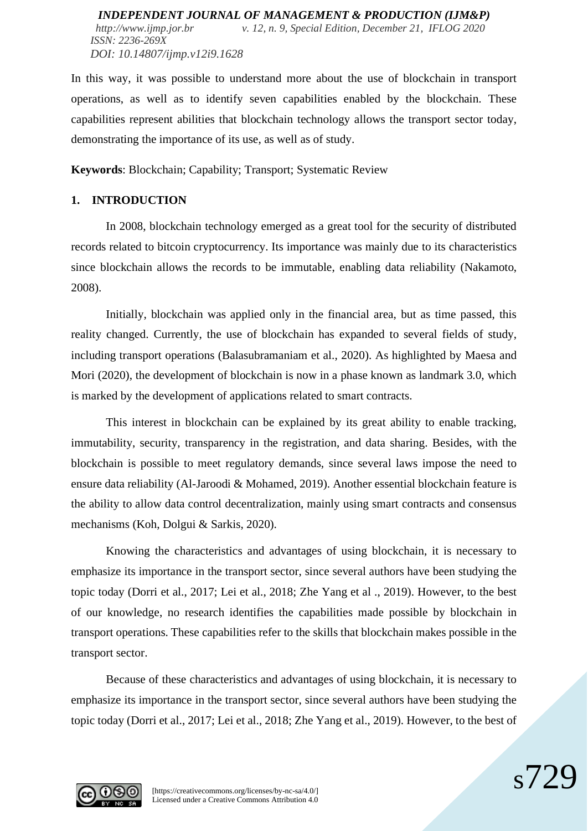In this way, it was possible to understand more about the use of blockchain in transport operations, as well as to identify seven capabilities enabled by the blockchain. These capabilities represent abilities that blockchain technology allows the transport sector today, demonstrating the importance of its use, as well as of study.

**Keywords**: Blockchain; Capability; Transport; Systematic Review

# **1. INTRODUCTION**

In 2008, blockchain technology emerged as a great tool for the security of distributed records related to bitcoin cryptocurrency. Its importance was mainly due to its characteristics since blockchain allows the records to be immutable, enabling data reliability (Nakamoto, 2008).

Initially, blockchain was applied only in the financial area, but as time passed, this reality changed. Currently, the use of blockchain has expanded to several fields of study, including transport operations (Balasubramaniam et al., 2020). As highlighted by Maesa and Mori (2020), the development of blockchain is now in a phase known as landmark 3.0, which is marked by the development of applications related to smart contracts.

This interest in blockchain can be explained by its great ability to enable tracking, immutability, security, transparency in the registration, and data sharing. Besides, with the blockchain is possible to meet regulatory demands, since several laws impose the need to ensure data reliability (Al-Jaroodi & Mohamed, 2019). Another essential blockchain feature is the ability to allow data control decentralization, mainly using smart contracts and consensus mechanisms (Koh, Dolgui & Sarkis, 2020).

Knowing the characteristics and advantages of using blockchain, it is necessary to emphasize its importance in the transport sector, since several authors have been studying the topic today (Dorri et al., 2017; Lei et al., 2018; Zhe Yang et al ., 2019). However, to the best of our knowledge, no research identifies the capabilities made possible by blockchain in transport operations. These capabilities refer to the skills that blockchain makes possible in the transport sector.

Because of these characteristics and advantages of using blockchain, it is necessary to emphasize its importance in the transport sector, since several authors have been studying the topic today (Dorri et al., 2017; Lei et al., 2018; Zhe Yang et al., 2019). However, to the best of

 $\mathcal{S}/\mathcal{D}$ 

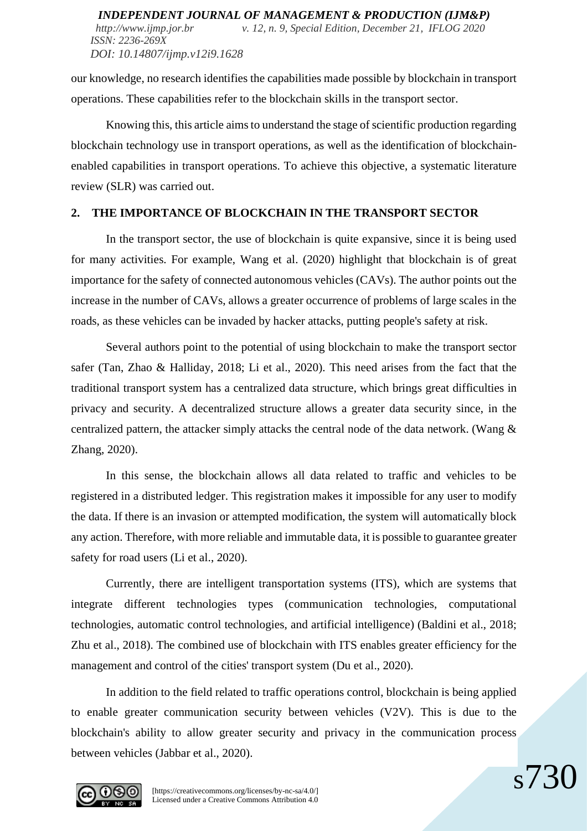our knowledge, no research identifies the capabilities made possible by blockchain in transport operations. These capabilities refer to the blockchain skills in the transport sector.

Knowing this, this article aims to understand the stage of scientific production regarding blockchain technology use in transport operations, as well as the identification of blockchainenabled capabilities in transport operations. To achieve this objective, a systematic literature review (SLR) was carried out.

### **2. THE IMPORTANCE OF BLOCKCHAIN IN THE TRANSPORT SECTOR**

In the transport sector, the use of blockchain is quite expansive, since it is being used for many activities. For example, Wang et al. (2020) highlight that blockchain is of great importance for the safety of connected autonomous vehicles (CAVs). The author points out the increase in the number of CAVs, allows a greater occurrence of problems of large scales in the roads, as these vehicles can be invaded by hacker attacks, putting people's safety at risk.

Several authors point to the potential of using blockchain to make the transport sector safer (Tan, Zhao & Halliday, 2018; Li et al., 2020). This need arises from the fact that the traditional transport system has a centralized data structure, which brings great difficulties in privacy and security. A decentralized structure allows a greater data security since, in the centralized pattern, the attacker simply attacks the central node of the data network. (Wang  $\&$ Zhang, 2020).

In this sense, the blockchain allows all data related to traffic and vehicles to be registered in a distributed ledger. This registration makes it impossible for any user to modify the data. If there is an invasion or attempted modification, the system will automatically block any action. Therefore, with more reliable and immutable data, it is possible to guarantee greater safety for road users (Li et al., 2020).

Currently, there are intelligent transportation systems (ITS), which are systems that integrate different technologies types (communication technologies, computational technologies, automatic control technologies, and artificial intelligence) (Baldini et al., 2018; Zhu et al., 2018). The combined use of blockchain with ITS enables greater efficiency for the management and control of the cities' transport system (Du et al., 2020).

In addition to the field related to traffic operations control, blockchain is being applied to enable greater communication security between vehicles (V2V). This is due to the blockchain's ability to allow greater security and privacy in the communication process between vehicles (Jabbar et al., 2020).

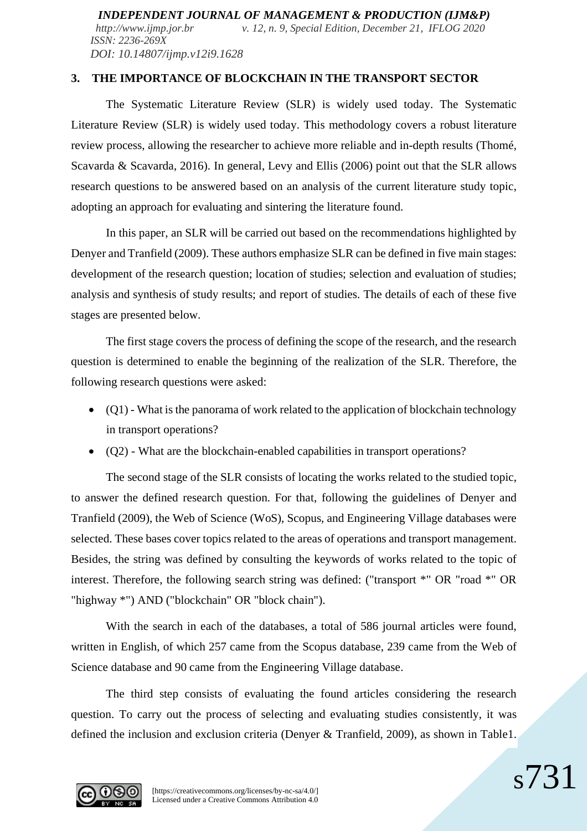*http://www.ijmp.jor.br v. 12, n. 9, Special Edition, December 21, IFLOG 2020 ISSN: 2236-269X DOI: 10.14807/ijmp.v12i9.1628*

## **3. THE IMPORTANCE OF BLOCKCHAIN IN THE TRANSPORT SECTOR**

The Systematic Literature Review (SLR) is widely used today. The Systematic Literature Review (SLR) is widely used today. This methodology covers a robust literature review process, allowing the researcher to achieve more reliable and in-depth results (Thomé, Scavarda & Scavarda, 2016). In general, Levy and Ellis (2006) point out that the SLR allows research questions to be answered based on an analysis of the current literature study topic, adopting an approach for evaluating and sintering the literature found.

In this paper, an SLR will be carried out based on the recommendations highlighted by Denyer and Tranfield (2009). These authors emphasize SLR can be defined in five main stages: development of the research question; location of studies; selection and evaluation of studies; analysis and synthesis of study results; and report of studies. The details of each of these five stages are presented below.

The first stage covers the process of defining the scope of the research, and the research question is determined to enable the beginning of the realization of the SLR. Therefore, the following research questions were asked:

- (Q1) What is the panorama of work related to the application of blockchain technology in transport operations?
- (Q2) What are the blockchain-enabled capabilities in transport operations?

The second stage of the SLR consists of locating the works related to the studied topic, to answer the defined research question. For that, following the guidelines of Denyer and Tranfield (2009), the Web of Science (WoS), Scopus, and Engineering Village databases were selected. These bases cover topics related to the areas of operations and transport management. Besides, the string was defined by consulting the keywords of works related to the topic of interest. Therefore, the following search string was defined: ("transport \*" OR "road \*" OR "highway \*") AND ("blockchain" OR "block chain").

With the search in each of the databases, a total of 586 journal articles were found, written in English, of which 257 came from the Scopus database, 239 came from the Web of Science database and 90 came from the Engineering Village database.

The third step consists of evaluating the found articles considering the research question. To carry out the process of selecting and evaluating studies consistently, it was defined the inclusion and exclusion criteria (Denyer & Tranfield, 2009), as shown in Table1.

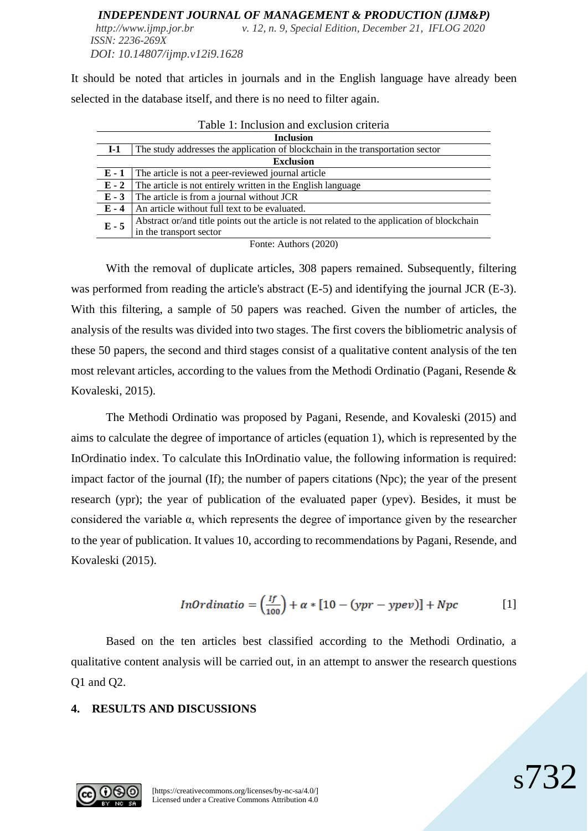#### *INDEPENDENT JOURNAL OF MANAGEMENT & PRODUCTION (IJM&P) http://www.ijmp.jor.br v. 12, n. 9, Special Edition, December 21, IFLOG 2020*

*ISSN: 2236-269X DOI: 10.14807/ijmp.v12i9.1628*

It should be noted that articles in journals and in the English language have already been selected in the database itself, and there is no need to filter again.

| Table 1: Inclusion and exclusion criteria |                                                                                              |  |  |
|-------------------------------------------|----------------------------------------------------------------------------------------------|--|--|
| <b>Inclusion</b>                          |                                                                                              |  |  |
| $I-1$                                     | The study addresses the application of blockchain in the transportation sector               |  |  |
| <b>Exclusion</b>                          |                                                                                              |  |  |
| $E-1$                                     | The article is not a peer-reviewed journal article                                           |  |  |
| $E - 2$                                   | The article is not entirely written in the English language                                  |  |  |
| $E - 3$                                   | The article is from a journal without JCR                                                    |  |  |
| $E - 4$                                   | An article without full text to be evaluated.                                                |  |  |
| $E - 5$                                   | Abstract or/and title points out the article is not related to the application of blockchain |  |  |
|                                           | in the transport sector                                                                      |  |  |
|                                           |                                                                                              |  |  |

Fonte: Authors (2020)

With the removal of duplicate articles, 308 papers remained. Subsequently, filtering was performed from reading the article's abstract (E-5) and identifying the journal JCR (E-3). With this filtering, a sample of 50 papers was reached. Given the number of articles, the analysis of the results was divided into two stages. The first covers the bibliometric analysis of these 50 papers, the second and third stages consist of a qualitative content analysis of the ten most relevant articles, according to the values from the Methodi Ordinatio (Pagani, Resende & Kovaleski, 2015).

The Methodi Ordinatio was proposed by Pagani, Resende, and Kovaleski (2015) and aims to calculate the degree of importance of articles (equation 1), which is represented by the InOrdinatio index. To calculate this InOrdinatio value, the following information is required: impact factor of the journal (If); the number of papers citations (Npc); the year of the present research (ypr); the year of publication of the evaluated paper (ypev). Besides, it must be considered the variable α, which represents the degree of importance given by the researcher to the year of publication. It values 10, according to recommendations by Pagani, Resende, and Kovaleski (2015).

$$
InOrdinatio = \left(\frac{If}{100}\right) + \alpha * [10 - (ypr - ypev)] + Npc
$$
 [1]

Based on the ten articles best classified according to the Methodi Ordinatio, a qualitative content analysis will be carried out, in an attempt to answer the research questions Q1 and Q2.

# **4. RESULTS AND DISCUSSIONS**

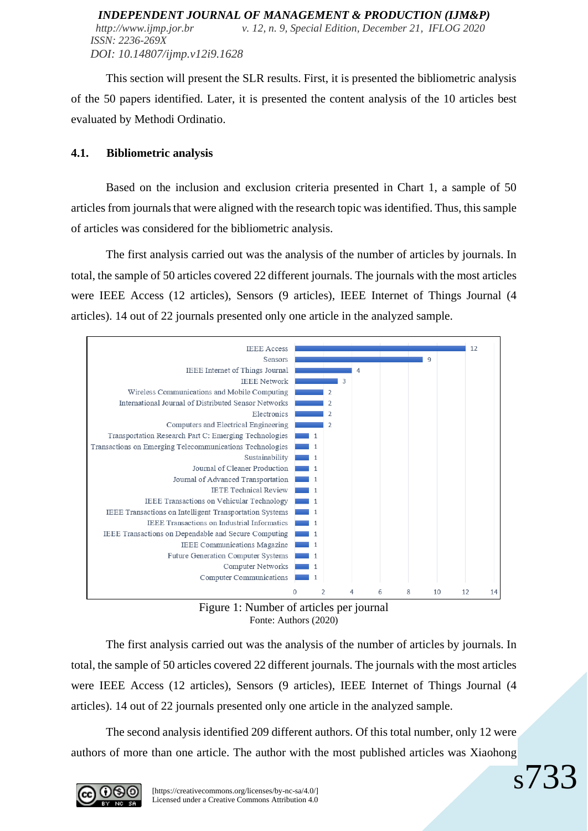*INDEPENDENT JOURNAL OF MANAGEMENT & PRODUCTION (IJM&P) http://www.ijmp.jor.br v. 12, n. 9, Special Edition, December 21, IFLOG 2020 ISSN: 2236-269X DOI: 10.14807/ijmp.v12i9.1628*

This section will present the SLR results. First, it is presented the bibliometric analysis of the 50 papers identified. Later, it is presented the content analysis of the 10 articles best evaluated by Methodi Ordinatio.

### **4.1. Bibliometric analysis**

Based on the inclusion and exclusion criteria presented in Chart 1, a sample of 50 articles from journals that were aligned with the research topic was identified. Thus, this sample of articles was considered for the bibliometric analysis.

The first analysis carried out was the analysis of the number of articles by journals. In total, the sample of 50 articles covered 22 different journals. The journals with the most articles were IEEE Access (12 articles), Sensors (9 articles), IEEE Internet of Things Journal (4 articles). 14 out of 22 journals presented only one article in the analyzed sample.



Figure 1: Number of articles per journal Fonte: Authors (2020)

The first analysis carried out was the analysis of the number of articles by journals. In total, the sample of 50 articles covered 22 different journals. The journals with the most articles were IEEE Access (12 articles), Sensors (9 articles), IEEE Internet of Things Journal (4 articles). 14 out of 22 journals presented only one article in the analyzed sample.

The second analysis identified 209 different authors. Of this total number, only 12 were authors of more than one article. The author with the most published articles was Xiaohong

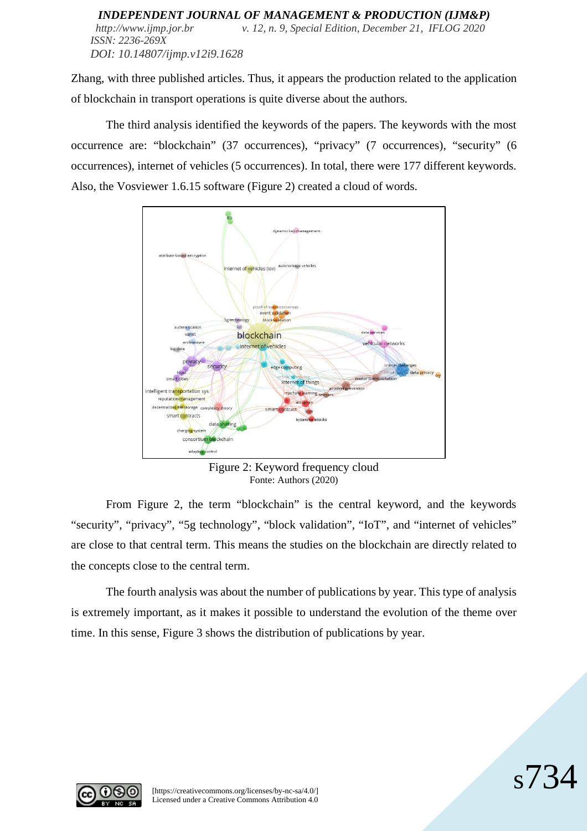#### *INDEPENDENT JOURNAL OF MANAGEMENT & PRODUCTION (IJM&P) http://www.ijmp.jor.br v. 12, n. 9, Special Edition, December 21, IFLOG 2020 ISSN: 2236-269X DOI: 10.14807/ijmp.v12i9.1628*

Zhang, with three published articles. Thus, it appears the production related to the application of blockchain in transport operations is quite diverse about the authors.

The third analysis identified the keywords of the papers. The keywords with the most occurrence are: "blockchain" (37 occurrences), "privacy" (7 occurrences), "security" (6 occurrences), internet of vehicles (5 occurrences). In total, there were 177 different keywords. Also, the Vosviewer 1.6.15 software (Figure 2) created a cloud of words.



Figure 2: Keyword frequency cloud Fonte: Authors (2020)

From Figure 2, the term "blockchain" is the central keyword, and the keywords "security", "privacy", "5g technology", "block validation", "IoT", and "internet of vehicles" are close to that central term. This means the studies on the blockchain are directly related to the concepts close to the central term.

The fourth analysis was about the number of publications by year. This type of analysis is extremely important, as it makes it possible to understand the evolution of the theme over time. In this sense, Figure 3 shows the distribution of publications by year.



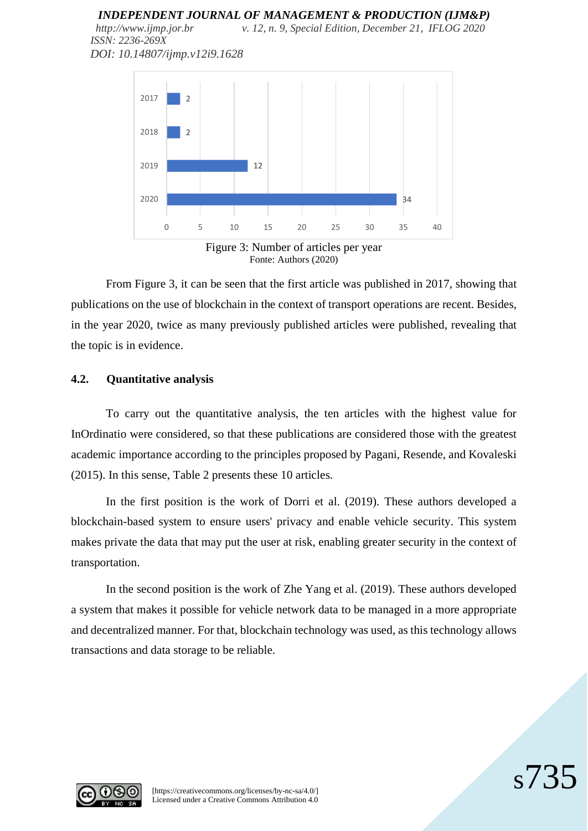*http://www.ijmp.jor.br v. 12, n. 9, Special Edition, December 21, IFLOG 2020 ISSN: 2236-269X DOI: 10.14807/ijmp.v12i9.1628*



From Figure 3, it can be seen that the first article was published in 2017, showing that publications on the use of blockchain in the context of transport operations are recent. Besides, in the year 2020, twice as many previously published articles were published, revealing that the topic is in evidence.

#### **4.2. Quantitative analysis**

To carry out the quantitative analysis, the ten articles with the highest value for InOrdinatio were considered, so that these publications are considered those with the greatest academic importance according to the principles proposed by Pagani, Resende, and Kovaleski (2015). In this sense, Table 2 presents these 10 articles.

In the first position is the work of Dorri et al. (2019). These authors developed a blockchain-based system to ensure users' privacy and enable vehicle security. This system makes private the data that may put the user at risk, enabling greater security in the context of transportation.

In the second position is the work of Zhe Yang et al. (2019). These authors developed a system that makes it possible for vehicle network data to be managed in a more appropriate and decentralized manner. For that, blockchain technology was used, as this technology allows transactions and data storage to be reliable.

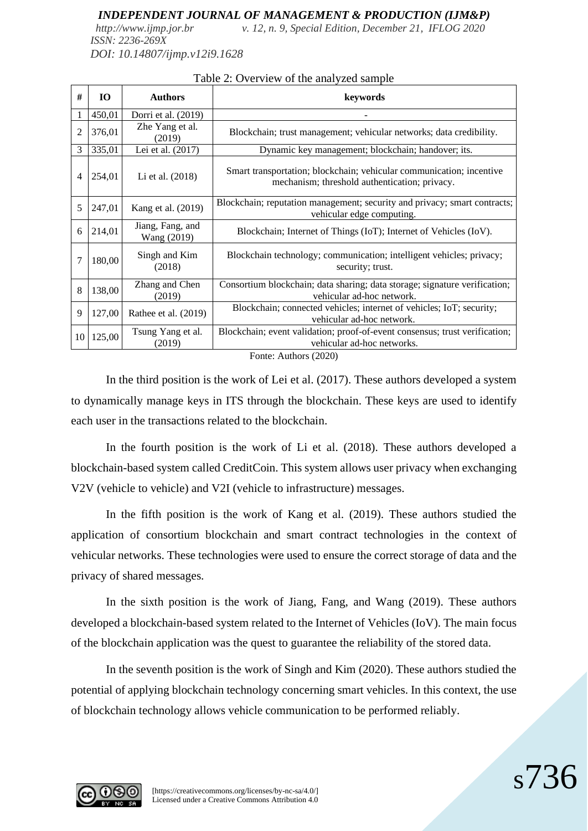*http://www.ijmp.jor.br v. 12, n. 9, Special Edition, December 21, IFLOG 2020 ISSN: 2236-269X DOI: 10.14807/ijmp.v12i9.1628*

**# IO Authors keywords** 1 450,01 Dorri et al. (2019) - 2  $376,01$  Zhe Yang et al. Blockchain; trust management; vehicular networks; data credibility. 3 335,01 Lei et al. (2017) Dynamic key management; blockchain; handover; its. 4 254,01 Li et al. (2018) Smart transportation; blockchain; vehicular communication; incentive mechanism; threshold authentication; privacy. 5 247,01 Kang et al. (2019) Blockchain; reputation management; security and privacy; smart contracts; vehicular edge computing.  $\begin{array}{|c|c|} \hline 6 & 214.01 & \text{Jiang, Fang, and} \ \hline \text{Wang (2019)} & \end{array}$ Blockchain; Internet of Things (IoT); Internet of Vehicles (IoV).  $7 \mid 180,00 \mid$  Singh and Kim (2018) Blockchain technology; communication; intelligent vehicles; privacy; security; trust.  $\begin{array}{|c|c|c|} \hline 8 & 138,00 & \text{Zhang and Chen} \ \hline \end{array}$ (2019) Consortium blockchain; data sharing; data storage; signature verification; vehicular ad-hoc network. 9 127,00 Rathee et al. (2019) Blockchain; connected vehicles; internet of vehicles; IoT; security; vehicular ad-hoc network.  $10\begin{array}{|c|c|} \hline 125,00 & \hline \end{array}$  Tsung Yang et al. (2019) Blockchain; event validation; proof-of-event consensus; trust verification; vehicular ad-hoc networks. Fonte: Authors (2020)

#### Table 2: Overview of the analyzed sample

In the third position is the work of Lei et al. (2017). These authors developed a system to dynamically manage keys in ITS through the blockchain. These keys are used to identify each user in the transactions related to the blockchain.

In the fourth position is the work of Li et al. (2018). These authors developed a blockchain-based system called CreditCoin. This system allows user privacy when exchanging V2V (vehicle to vehicle) and V2I (vehicle to infrastructure) messages.

In the fifth position is the work of Kang et al. (2019). These authors studied the application of consortium blockchain and smart contract technologies in the context of vehicular networks. These technologies were used to ensure the correct storage of data and the privacy of shared messages.

In the sixth position is the work of Jiang, Fang, and Wang (2019). These authors developed a blockchain-based system related to the Internet of Vehicles (IoV). The main focus of the blockchain application was the quest to guarantee the reliability of the stored data.

In the seventh position is the work of Singh and Kim (2020). These authors studied the potential of applying blockchain technology concerning smart vehicles. In this context, the use of blockchain technology allows vehicle communication to be performed reliably.

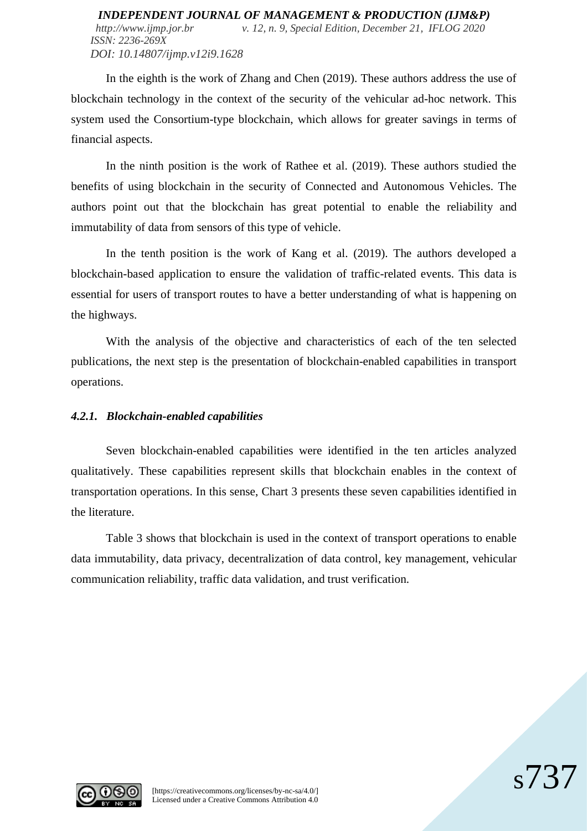#### *INDEPENDENT JOURNAL OF MANAGEMENT & PRODUCTION (IJM&P) http://www.ijmp.jor.br v. 12, n. 9, Special Edition, December 21, IFLOG 2020 ISSN: 2236-269X DOI: 10.14807/ijmp.v12i9.1628*

In the eighth is the work of Zhang and Chen (2019). These authors address the use of blockchain technology in the context of the security of the vehicular ad-hoc network. This system used the Consortium-type blockchain, which allows for greater savings in terms of financial aspects.

In the ninth position is the work of Rathee et al. (2019). These authors studied the benefits of using blockchain in the security of Connected and Autonomous Vehicles. The authors point out that the blockchain has great potential to enable the reliability and immutability of data from sensors of this type of vehicle.

In the tenth position is the work of Kang et al. (2019). The authors developed a blockchain-based application to ensure the validation of traffic-related events. This data is essential for users of transport routes to have a better understanding of what is happening on the highways.

With the analysis of the objective and characteristics of each of the ten selected publications, the next step is the presentation of blockchain-enabled capabilities in transport operations.

### *4.2.1. Blockchain-enabled capabilities*

Seven blockchain-enabled capabilities were identified in the ten articles analyzed qualitatively. These capabilities represent skills that blockchain enables in the context of transportation operations. In this sense, Chart 3 presents these seven capabilities identified in the literature.

Table 3 shows that blockchain is used in the context of transport operations to enable data immutability, data privacy, decentralization of data control, key management, vehicular communication reliability, traffic data validation, and trust verification.



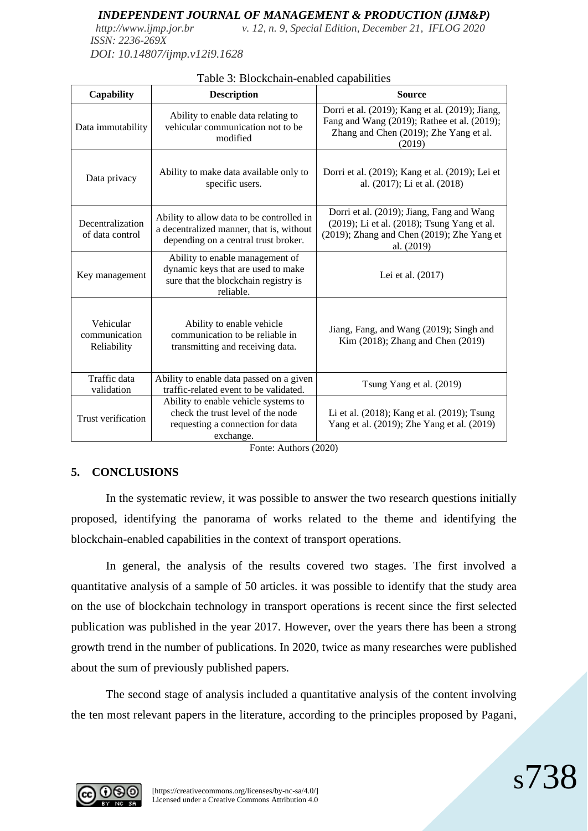*http://www.ijmp.jor.br v. 12, n. 9, Special Edition, December 21, IFLOG 2020 ISSN: 2236-269X*

*DOI: 10.14807/ijmp.v12i9.1628*

| <b>Capability</b>                         | <b>Description</b>                                                                                                            | <b>Source</b>                                                                                                                                        |
|-------------------------------------------|-------------------------------------------------------------------------------------------------------------------------------|------------------------------------------------------------------------------------------------------------------------------------------------------|
| Data immutability                         | Ability to enable data relating to<br>vehicular communication not to be<br>modified                                           | Dorri et al. (2019); Kang et al. (2019); Jiang,<br>Fang and Wang (2019); Rathee et al. (2019);<br>Zhang and Chen (2019); Zhe Yang et al.<br>(2019)   |
| Data privacy                              | Ability to make data available only to<br>specific users.                                                                     | Dorri et al. (2019); Kang et al. (2019); Lei et<br>al. (2017); Li et al. (2018)                                                                      |
| Decentralization<br>of data control       | Ability to allow data to be controlled in<br>a decentralized manner, that is, without<br>depending on a central trust broker. | Dorri et al. (2019); Jiang, Fang and Wang<br>(2019); Li et al. (2018); Tsung Yang et al.<br>(2019); Zhang and Chen (2019); Zhe Yang et<br>al. (2019) |
| Key management                            | Ability to enable management of<br>dynamic keys that are used to make<br>sure that the blockchain registry is<br>reliable.    | Lei et al. (2017)                                                                                                                                    |
| Vehicular<br>communication<br>Reliability | Ability to enable vehicle<br>communication to be reliable in<br>transmitting and receiving data.                              | Jiang, Fang, and Wang (2019); Singh and<br>Kim (2018); Zhang and Chen (2019)                                                                         |
| Traffic data<br>validation                | Ability to enable data passed on a given<br>traffic-related event to be validated.                                            | Tsung Yang et al. (2019)                                                                                                                             |
| Trust verification                        | Ability to enable vehicle systems to<br>check the trust level of the node<br>requesting a connection for data<br>exchange.    | Li et al. (2018); Kang et al. (2019); Tsung<br>Yang et al. (2019); Zhe Yang et al. (2019)                                                            |

Fonte: Authors (2020)

## **5. CONCLUSIONS**

In the systematic review, it was possible to answer the two research questions initially proposed, identifying the panorama of works related to the theme and identifying the blockchain-enabled capabilities in the context of transport operations.

In general, the analysis of the results covered two stages. The first involved a quantitative analysis of a sample of 50 articles. it was possible to identify that the study area on the use of blockchain technology in transport operations is recent since the first selected publication was published in the year 2017. However, over the years there has been a strong growth trend in the number of publications. In 2020, twice as many researches were published about the sum of previously published papers.

The second stage of analysis included a quantitative analysis of the content involving the ten most relevant papers in the literature, according to the principles proposed by Pagani,

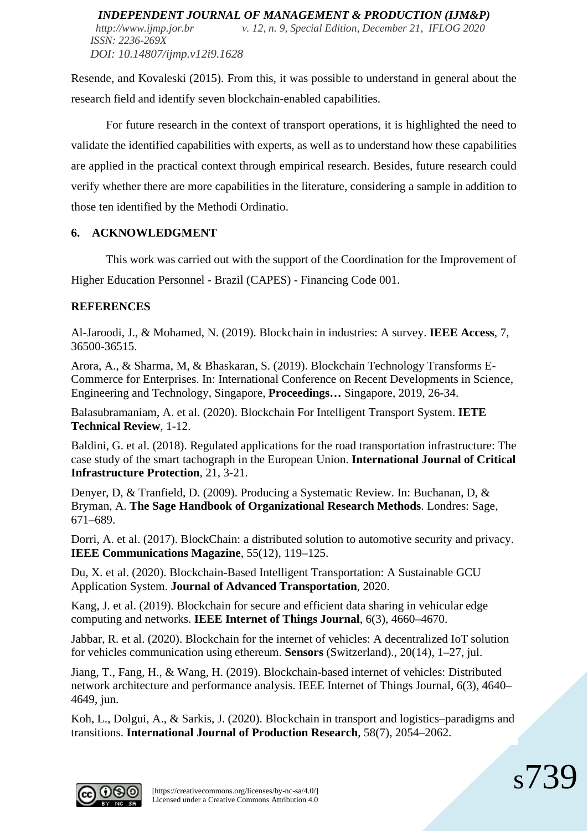Resende, and Kovaleski (2015). From this, it was possible to understand in general about the research field and identify seven blockchain-enabled capabilities.

For future research in the context of transport operations, it is highlighted the need to validate the identified capabilities with experts, as well as to understand how these capabilities are applied in the practical context through empirical research. Besides, future research could verify whether there are more capabilities in the literature, considering a sample in addition to those ten identified by the Methodi Ordinatio.

# **6. ACKNOWLEDGMENT**

This work was carried out with the support of the Coordination for the Improvement of Higher Education Personnel - Brazil (CAPES) - Financing Code 001.

# **REFERENCES**

Al-Jaroodi, J., & Mohamed, N. (2019). Blockchain in industries: A survey. **IEEE Access**, 7, 36500-36515.

Arora, A., & Sharma, M, & Bhaskaran, S. (2019). Blockchain Technology Transforms E-Commerce for Enterprises. In: International Conference on Recent Developments in Science, Engineering and Technology, Singapore, **Proceedings…** Singapore, 2019, 26-34.

Balasubramaniam, A. et al. (2020). Blockchain For Intelligent Transport System. **IETE Technical Review**, 1-12.

Baldini, G. et al. (2018). Regulated applications for the road transportation infrastructure: The case study of the smart tachograph in the European Union. **International Journal of Critical Infrastructure Protection**, 21, 3-21.

Denyer, D, & Tranfield, D. (2009). Producing a Systematic Review. In: Buchanan, D, & Bryman, A. **The Sage Handbook of Organizational Research Methods**. Londres: Sage, 671–689.

Dorri, A. et al. (2017). BlockChain: a distributed solution to automotive security and privacy. **IEEE Communications Magazine**, 55(12), 119–125.

Du, X. et al. (2020). Blockchain-Based Intelligent Transportation: A Sustainable GCU Application System. **Journal of Advanced Transportation**, 2020.

Kang, J. et al. (2019). Blockchain for secure and efficient data sharing in vehicular edge computing and networks. **IEEE Internet of Things Journal**, 6(3), 4660–4670.

Jabbar, R. et al. (2020). Blockchain for the internet of vehicles: A decentralized IoT solution for vehicles communication using ethereum. **Sensors** (Switzerland)., 20(14), 1–27, jul.

Jiang, T., Fang, H., & Wang, H. (2019). Blockchain-based internet of vehicles: Distributed network architecture and performance analysis. IEEE Internet of Things Journal, 6(3), 4640– 4649, jun.

Koh, L., Dolgui, A., & Sarkis, J. (2020). Blockchain in transport and logistics–paradigms and transitions. **International Journal of Production Research**, 58(7), 2054–2062.